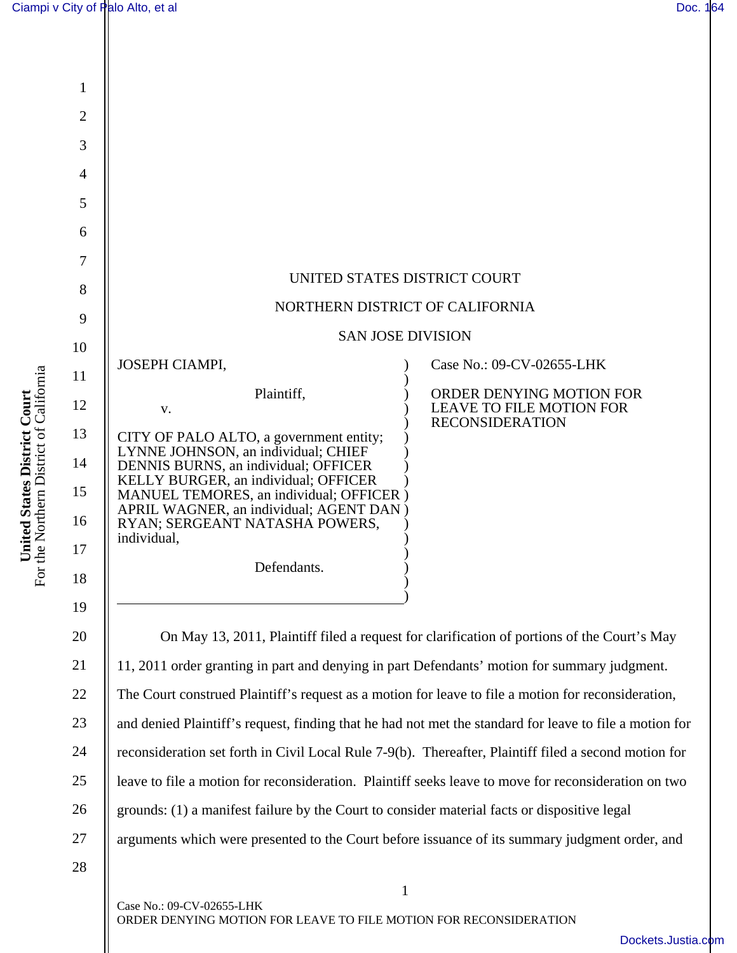**United States District Court**  For the Northern District of California

United States District Court<br>For the Northern District of California



ORDER DENYING MOTION FOR LEAVE TO FILE MOTION FOR RECONSIDERATION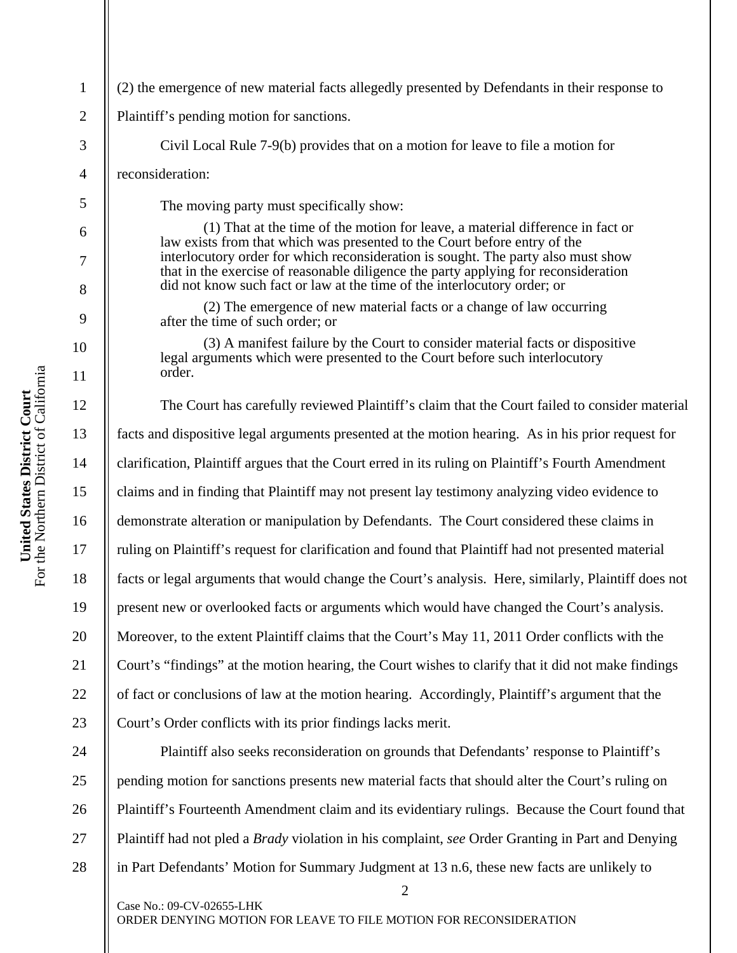| $\mathbf{1}$   | (2) the emergence of new material facts allegedly presented by Defendants in their response to                                                                                                                                                       |
|----------------|------------------------------------------------------------------------------------------------------------------------------------------------------------------------------------------------------------------------------------------------------|
| $\mathfrak{2}$ | Plaintiff's pending motion for sanctions.                                                                                                                                                                                                            |
| 3              | Civil Local Rule 7-9(b) provides that on a motion for leave to file a motion for                                                                                                                                                                     |
| $\overline{4}$ | reconsideration:                                                                                                                                                                                                                                     |
| 5              | The moving party must specifically show:                                                                                                                                                                                                             |
| 6              | (1) That at the time of the motion for leave, a material difference in fact or<br>law exists from that which was presented to the Court before entry of the                                                                                          |
| $\tau$<br>8    | interlocutory order for which reconsideration is sought. The party also must show<br>that in the exercise of reasonable diligence the party applying for reconsideration<br>did not know such fact or law at the time of the interlocutory order; or |
| 9              | (2) The emergence of new material facts or a change of law occurring<br>after the time of such order; or                                                                                                                                             |
| 10             | (3) A manifest failure by the Court to consider material facts or dispositive<br>legal arguments which were presented to the Court before such interlocutory<br>order.                                                                               |
| 11             |                                                                                                                                                                                                                                                      |
| 12             | The Court has carefully reviewed Plaintiff's claim that the Court failed to consider material                                                                                                                                                        |
| 13             | facts and dispositive legal arguments presented at the motion hearing. As in his prior request for                                                                                                                                                   |
| 14             | clarification, Plaintiff argues that the Court erred in its ruling on Plaintiff's Fourth Amendment                                                                                                                                                   |
| 15             | claims and in finding that Plaintiff may not present lay testimony analyzing video evidence to                                                                                                                                                       |
| 16             | demonstrate alteration or manipulation by Defendants. The Court considered these claims in                                                                                                                                                           |
| 17             | ruling on Plaintiff's request for clarification and found that Plaintiff had not presented material                                                                                                                                                  |
| 18             | facts or legal arguments that would change the Court's analysis. Here, similarly, Plaintiff does not                                                                                                                                                 |
| 19             | present new or overlooked facts or arguments which would have changed the Court's analysis.                                                                                                                                                          |
| 20             | Moreover, to the extent Plaintiff claims that the Court's May 11, 2011 Order conflicts with the                                                                                                                                                      |
| 21             | Court's "findings" at the motion hearing, the Court wishes to clarify that it did not make findings                                                                                                                                                  |
| 22             | of fact or conclusions of law at the motion hearing. Accordingly, Plaintiff's argument that the                                                                                                                                                      |
| 23             | Court's Order conflicts with its prior findings lacks merit.                                                                                                                                                                                         |
| 24             | Plaintiff also seeks reconsideration on grounds that Defendants' response to Plaintiff's                                                                                                                                                             |
| 25             | pending motion for sanctions presents new material facts that should alter the Court's ruling on                                                                                                                                                     |
| 26             | Plaintiff's Fourteenth Amendment claim and its evidentiary rulings. Because the Court found that                                                                                                                                                     |
| 27             | Plaintiff had not pled a <i>Brady</i> violation in his complaint, see Order Granting in Part and Denying                                                                                                                                             |
| 28             | in Part Defendants' Motion for Summary Judgment at 13 n.6, these new facts are unlikely to<br>$\overline{c}$                                                                                                                                         |

Case No.: 09-CV-02655-LHK ORDER DENYING MOTION FOR LEAVE TO FILE MOTION FOR RECONSIDERATION